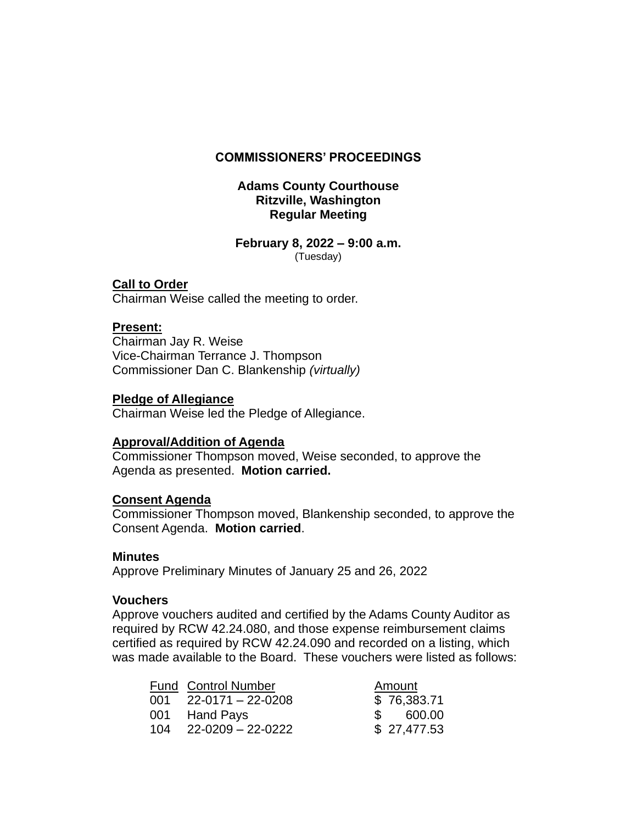## **COMMISSIONERS' PROCEEDINGS**

## **Adams County Courthouse Ritzville, Washington Regular Meeting**

#### **February 8, 2022 – 9:00 a.m.** (Tuesday)

## **Call to Order**

Chairman Weise called the meeting to order.

## **Present:**

Chairman Jay R. Weise Vice-Chairman Terrance J. Thompson Commissioner Dan C. Blankenship *(virtually)*

### **Pledge of Allegiance**

Chairman Weise led the Pledge of Allegiance.

### **Approval/Addition of Agenda**

Commissioner Thompson moved, Weise seconded, to approve the Agenda as presented. **Motion carried.**

### **Consent Agenda**

Commissioner Thompson moved, Blankenship seconded, to approve the Consent Agenda.**Motion carried**.

### **Minutes**

Approve Preliminary Minutes of January 25 and 26, 2022

### **Vouchers**

Approve vouchers audited and certified by the Adams County Auditor as required by RCW 42.24.080, and those expense reimbursement claims certified as required by RCW 42.24.090 and recorded on a listing, which was made available to the Board. These vouchers were listed as follows:

| <b>Fund Control Number</b> | Amount      |
|----------------------------|-------------|
| 001 22-0171 – 22-0208      | \$76,383.71 |
| 001 Hand Pays              | \$ 600.00   |
| 104 22-0209 - 22-0222      | \$27,477.53 |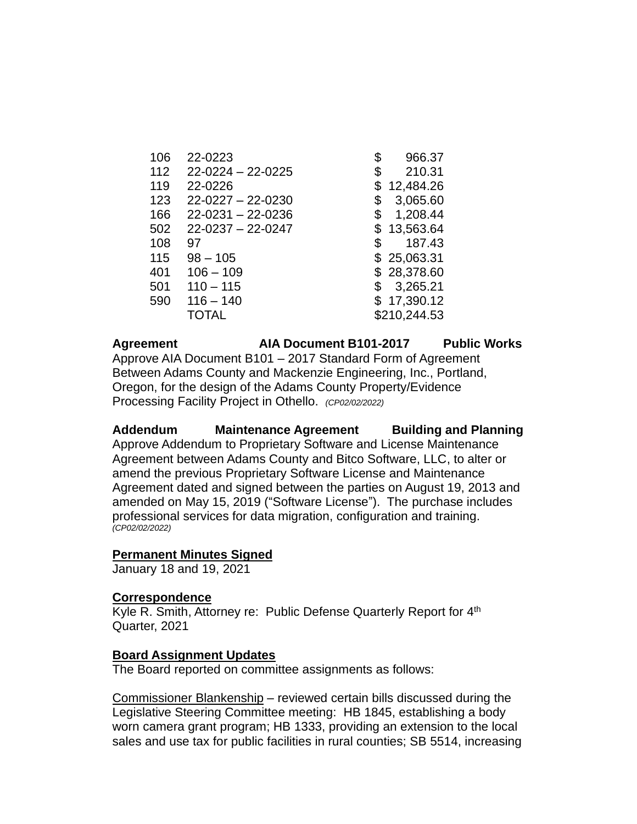| 106 | 22-0223                 | \$ | 966.37       |
|-----|-------------------------|----|--------------|
| 112 | $22 - 0224 - 22 - 0225$ | \$ | 210.31       |
| 119 | 22-0226                 | \$ | 12,484.26    |
| 123 | $22 - 0227 - 22 - 0230$ | \$ | 3,065.60     |
| 166 | $22 - 0231 - 22 - 0236$ | \$ | 1,208.44     |
| 502 | $22 - 0237 - 22 - 0247$ | S  | 13,563.64    |
| 108 | 97                      | \$ | 187.43       |
| 115 | $98 - 105$              |    | \$25,063.31  |
| 401 | $106 - 109$             |    | \$28,378.60  |
| 501 | $110 - 115$             | \$ | 3,265.21     |
| 590 | $116 - 140$             |    | 17,390.12    |
|     | TOTAL                   |    | \$210,244.53 |

**Agreement AIA Document B101-2017 Public Works** Approve AIA Document B101 – 2017 Standard Form of Agreement Between Adams County and Mackenzie Engineering, Inc., Portland, Oregon, for the design of the Adams County Property/Evidence Processing Facility Project in Othello. *(CP02/02/2022)*

**Addendum Maintenance Agreement Building and Planning** Approve Addendum to Proprietary Software and License Maintenance Agreement between Adams County and Bitco Software, LLC, to alter or amend the previous Proprietary Software License and Maintenance Agreement dated and signed between the parties on August 19, 2013 and amended on May 15, 2019 ("Software License"). The purchase includes professional services for data migration, configuration and training. *(CP02/02/2022)*

### **Permanent Minutes Signed**

January 18 and 19, 2021

### **Correspondence**

Kyle R. Smith, Attorney re: Public Defense Quarterly Report for 4<sup>th</sup> Quarter, 2021

### **Board Assignment Updates**

The Board reported on committee assignments as follows:

Commissioner Blankenship – reviewed certain bills discussed during the Legislative Steering Committee meeting: HB 1845, establishing a body worn camera grant program; HB 1333, providing an extension to the local sales and use tax for public facilities in rural counties; SB 5514, increasing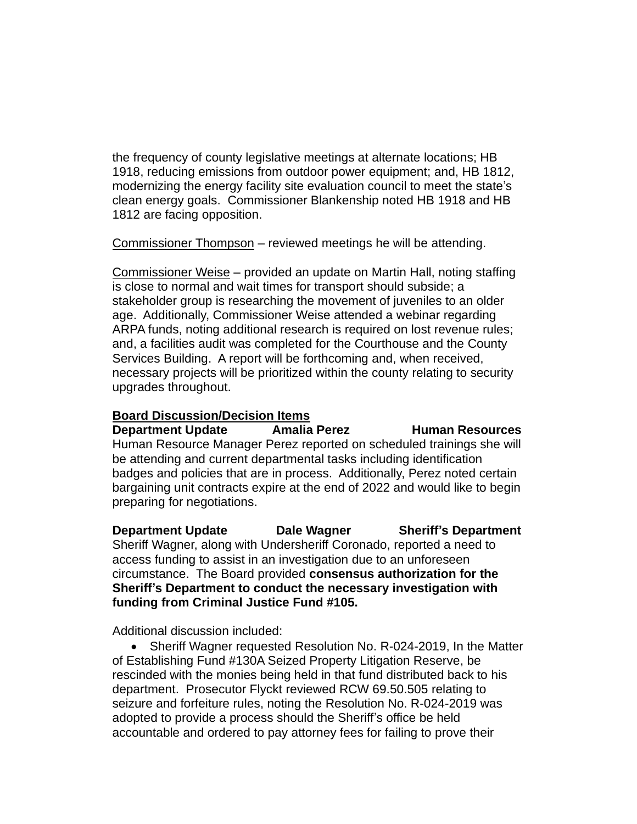the frequency of county legislative meetings at alternate locations; HB 1918, reducing emissions from outdoor power equipment; and, HB 1812, modernizing the energy facility site evaluation council to meet the state's clean energy goals. Commissioner Blankenship noted HB 1918 and HB 1812 are facing opposition.

Commissioner Thompson – reviewed meetings he will be attending.

Commissioner Weise – provided an update on Martin Hall, noting staffing is close to normal and wait times for transport should subside; a stakeholder group is researching the movement of juveniles to an older age. Additionally, Commissioner Weise attended a webinar regarding ARPA funds, noting additional research is required on lost revenue rules; and, a facilities audit was completed for the Courthouse and the County Services Building. A report will be forthcoming and, when received, necessary projects will be prioritized within the county relating to security upgrades throughout.

# **Board Discussion/Decision Items**

**Department Update Amalia Perez Human Resources** Human Resource Manager Perez reported on scheduled trainings she will be attending and current departmental tasks including identification badges and policies that are in process. Additionally, Perez noted certain bargaining unit contracts expire at the end of 2022 and would like to begin preparing for negotiations.

**Department Update Dale Wagner Sheriff's Department** Sheriff Wagner, along with Undersheriff Coronado, reported a need to access funding to assist in an investigation due to an unforeseen circumstance. The Board provided **consensus authorization for the Sheriff's Department to conduct the necessary investigation with funding from Criminal Justice Fund #105.** 

Additional discussion included:

• Sheriff Wagner requested Resolution No. R-024-2019, In the Matter of Establishing Fund #130A Seized Property Litigation Reserve, be rescinded with the monies being held in that fund distributed back to his department. Prosecutor Flyckt reviewed RCW 69.50.505 relating to seizure and forfeiture rules, noting the Resolution No. R-024-2019 was adopted to provide a process should the Sheriff's office be held accountable and ordered to pay attorney fees for failing to prove their